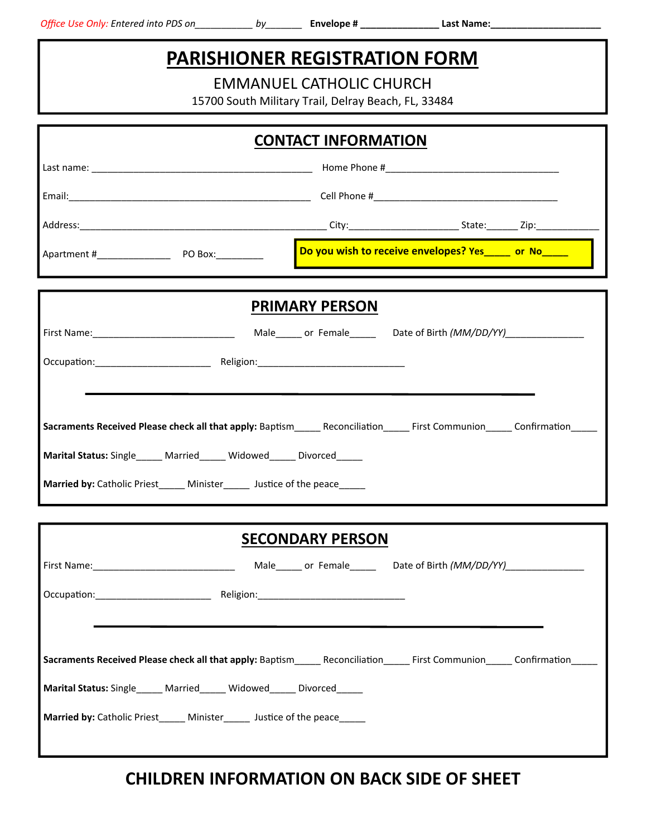## **PARISHIONER REGISTRATION FORM**

EMMANUEL CATHOLIC CHURCH

15700 South Military Trail, Delray Beach, FL, 33484

| <b>CONTACT INFORMATION</b>                                                                                                                                                                                                                                                                  |                                                        |  |  |
|---------------------------------------------------------------------------------------------------------------------------------------------------------------------------------------------------------------------------------------------------------------------------------------------|--------------------------------------------------------|--|--|
|                                                                                                                                                                                                                                                                                             |                                                        |  |  |
|                                                                                                                                                                                                                                                                                             |                                                        |  |  |
|                                                                                                                                                                                                                                                                                             |                                                        |  |  |
|                                                                                                                                                                                                                                                                                             | Do you wish to receive envelopes? Yes _____ or No_____ |  |  |
| <b>PRIMARY PERSON</b>                                                                                                                                                                                                                                                                       |                                                        |  |  |
|                                                                                                                                                                                                                                                                                             |                                                        |  |  |
|                                                                                                                                                                                                                                                                                             |                                                        |  |  |
| Sacraments Received Please check all that apply: Baptism________Reconciliation_________First Communion_______ Confirmation_______<br>Marital Status: Single_____ Married_____ Widowed_____ Divorced_____<br>Married by: Catholic Priest_______ Minister________ Justice of the peace_______ |                                                        |  |  |
| <b>SECONDARY PERSON</b>                                                                                                                                                                                                                                                                     |                                                        |  |  |
| First Name: 1990 1990 Male Male Male Male Content Cate of Birth (MM/DD/YY)                                                                                                                                                                                                                  |                                                        |  |  |
| Occupation:<br>Religion:                                                                                                                                                                                                                                                                    |                                                        |  |  |
|                                                                                                                                                                                                                                                                                             |                                                        |  |  |
| Sacraments Received Please check all that apply: Baptism_________Reconciliation__________First Communion_______ Confirmation_                                                                                                                                                               |                                                        |  |  |
| Marital Status: Single_____ Married_____ Widowed_____ Divorced_____                                                                                                                                                                                                                         |                                                        |  |  |
| Married by: Catholic Priest_____ Minister_____ Justice of the peace_____                                                                                                                                                                                                                    |                                                        |  |  |

## **CHILDREN INFORMATION ON BACK SIDE OF SHEET**